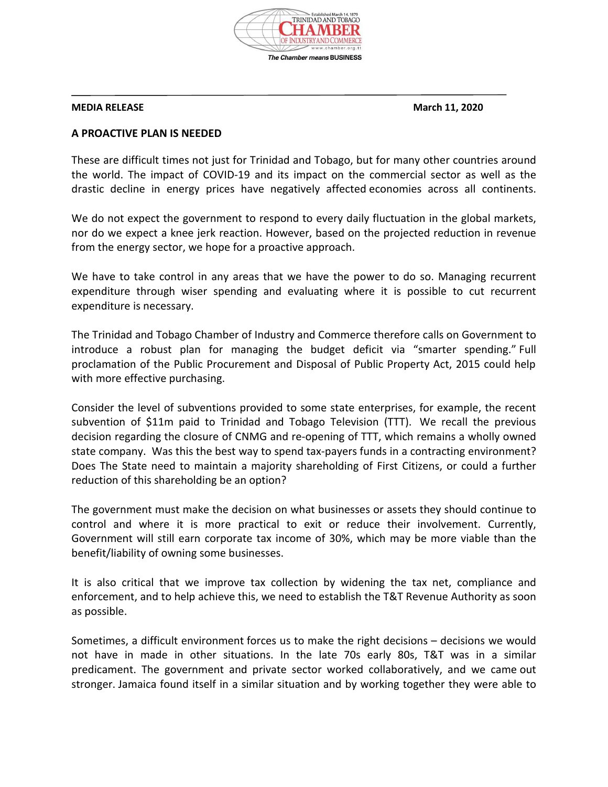

## **MEDIA RELEASE** March 11, 2020

## **A PROACTIVE PLAN IS NEEDED**

These are difficult times not just for Trinidad and Tobago, but for many other countries around the world. The impact of COVID-19 and its impact on the commercial sector as well as the drastic decline in energy prices have negatively affected economies across all continents.

We do not expect the government to respond to every daily fluctuation in the global markets, nor do we expect a knee jerk reaction. However, based on the projected reduction in revenue from the energy sector, we hope for a proactive approach.

We have to take control in any areas that we have the power to do so. Managing recurrent expenditure through wiser spending and evaluating where it is possible to cut recurrent expenditure is necessary.

The Trinidad and Tobago Chamber of Industry and Commerce therefore calls on Government to introduce a robust plan for managing the budget deficit via "smarter spending." Full proclamation of the Public Procurement and Disposal of Public Property Act, 2015 could help with more effective purchasing.

Consider the level of subventions provided to some state enterprises, for example, the recent subvention of \$11m paid to Trinidad and Tobago Television (TTT). We recall the previous decision regarding the closure of CNMG and re-opening of TTT, which remains a wholly owned state company. Was this the best way to spend tax-payers funds in a contracting environment? Does The State need to maintain a majority shareholding of First Citizens, or could a further reduction of this shareholding be an option?

The government must make the decision on what businesses or assets they should continue to control and where it is more practical to exit or reduce their involvement. Currently, Government will still earn corporate tax income of 30%, which may be more viable than the benefit/liability of owning some businesses.

It is also critical that we improve tax collection by widening the tax net, compliance and enforcement, and to help achieve this, we need to establish the T&T Revenue Authority as soon as possible.

Sometimes, a difficult environment forces us to make the right decisions – decisions we would not have in made in other situations. In the late 70s early 80s, T&T was in a similar predicament. The government and private sector worked collaboratively, and we came out stronger. Jamaica found itself in a similar situation and by working together they were able to